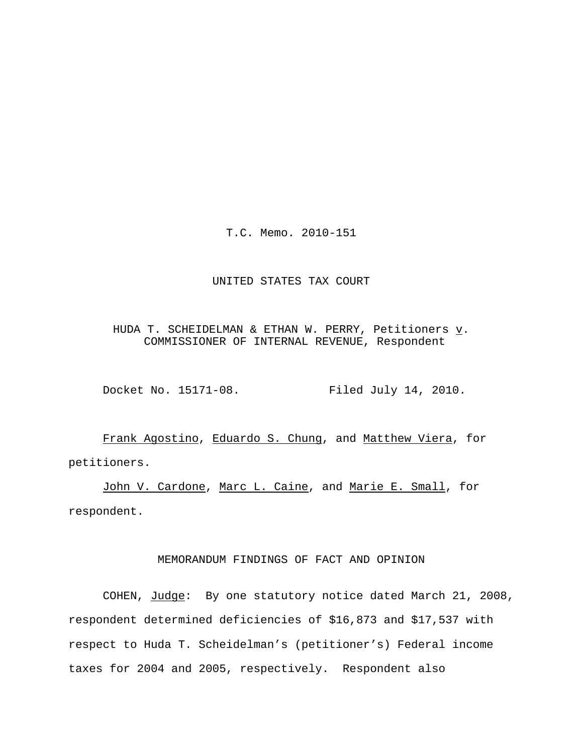T.C. Memo. 2010-151

#### UNITED STATES TAX COURT

HUDA T. SCHEIDELMAN & ETHAN W. PERRY, Petitioners  $\underline{v}$ . COMMISSIONER OF INTERNAL REVENUE, Respondent

Docket No. 15171-08. Filed July 14, 2010.

Frank Agostino, Eduardo S. Chung, and Matthew Viera, for petitioners.

John V. Cardone, Marc L. Caine, and Marie E. Small, for respondent.

## MEMORANDUM FINDINGS OF FACT AND OPINION

COHEN, Judge: By one statutory notice dated March 21, 2008, respondent determined deficiencies of \$16,873 and \$17,537 with respect to Huda T. Scheidelman's (petitioner's) Federal income taxes for 2004 and 2005, respectively. Respondent also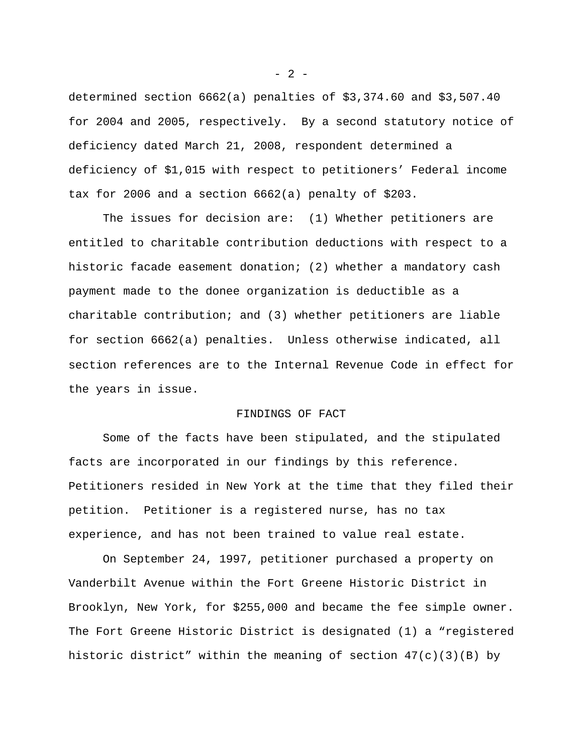determined section 6662(a) penalties of \$3,374.60 and \$3,507.40 for 2004 and 2005, respectively. By a second statutory notice of deficiency dated March 21, 2008, respondent determined a deficiency of \$1,015 with respect to petitioners' Federal income tax for 2006 and a section 6662(a) penalty of \$203.

The issues for decision are: (1) Whether petitioners are entitled to charitable contribution deductions with respect to a historic facade easement donation; (2) whether a mandatory cash payment made to the donee organization is deductible as a charitable contribution; and (3) whether petitioners are liable for section 6662(a) penalties.Unless otherwise indicated, all section references are to the Internal Revenue Code in effect for the years in issue.

## FINDINGS OF FACT

Some of the facts have been stipulated, and the stipulated facts are incorporated in our findings by this reference. Petitioners resided in New York at the time that they filed their petition. Petitioner is a registered nurse, has no tax experience, and has not been trained to value real estate.

On September 24, 1997, petitioner purchased a property on Vanderbilt Avenue within the Fort Greene Historic District in Brooklyn, New York, for \$255,000 and became the fee simple owner. The Fort Greene Historic District is designated (1) a "registered historic district" within the meaning of section  $47(c)(3)(B)$  by

 $- 2 -$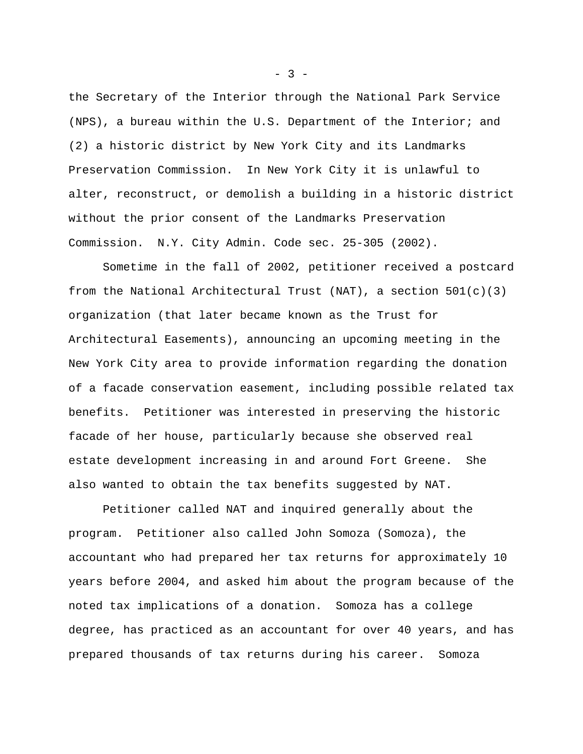the Secretary of the Interior through the National Park Service (NPS), a bureau within the U.S. Department of the Interior; and (2) a historic district by New York City and its Landmarks Preservation Commission. In New York City it is unlawful to alter, reconstruct, or demolish a building in a historic district without the prior consent of the Landmarks Preservation Commission. N.Y. City Admin. Code sec. 25-305 (2002).

Sometime in the fall of 2002, petitioner received a postcard from the National Architectural Trust (NAT), a section  $501(c)(3)$ organization (that later became known as the Trust for Architectural Easements), announcing an upcoming meeting in the New York City area to provide information regarding the donation of a facade conservation easement, including possible related tax benefits. Petitioner was interested in preserving the historic facade of her house, particularly because she observed real estate development increasing in and around Fort Greene. She also wanted to obtain the tax benefits suggested by NAT.

Petitioner called NAT and inquired generally about the program. Petitioner also called John Somoza (Somoza), the accountant who had prepared her tax returns for approximately 10 years before 2004, and asked him about the program because of the noted tax implications of a donation. Somoza has a college degree, has practiced as an accountant for over 40 years, and has prepared thousands of tax returns during his career. Somoza

 $- 3 -$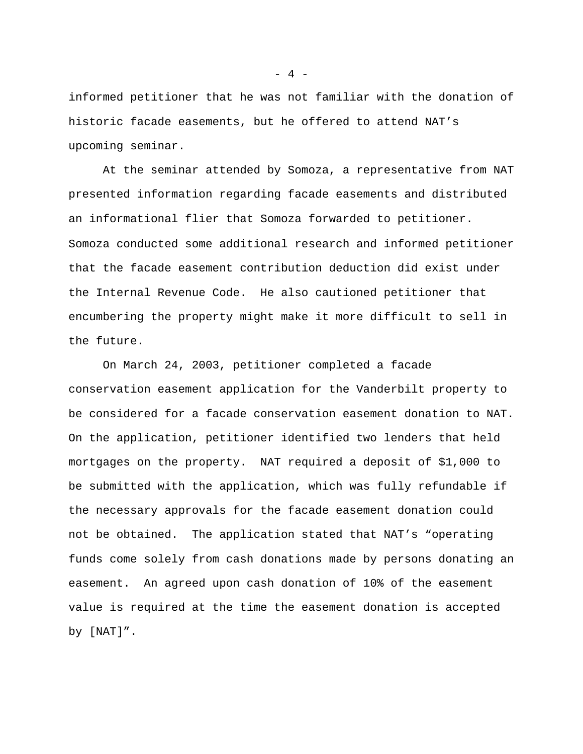informed petitioner that he was not familiar with the donation of historic facade easements, but he offered to attend NAT's upcoming seminar.

At the seminar attended by Somoza, a representative from NAT presented information regarding facade easements and distributed an informational flier that Somoza forwarded to petitioner. Somoza conducted some additional research and informed petitioner that the facade easement contribution deduction did exist under the Internal Revenue Code. He also cautioned petitioner that encumbering the property might make it more difficult to sell in the future.

On March 24, 2003, petitioner completed a facade conservation easement application for the Vanderbilt property to be considered for a facade conservation easement donation to NAT. On the application, petitioner identified two lenders that held mortgages on the property. NAT required a deposit of \$1,000 to be submitted with the application, which was fully refundable if the necessary approvals for the facade easement donation could not be obtained. The application stated that NAT's "operating funds come solely from cash donations made by persons donating an easement. An agreed upon cash donation of 10% of the easement value is required at the time the easement donation is accepted by [NAT]".

 $- 4 -$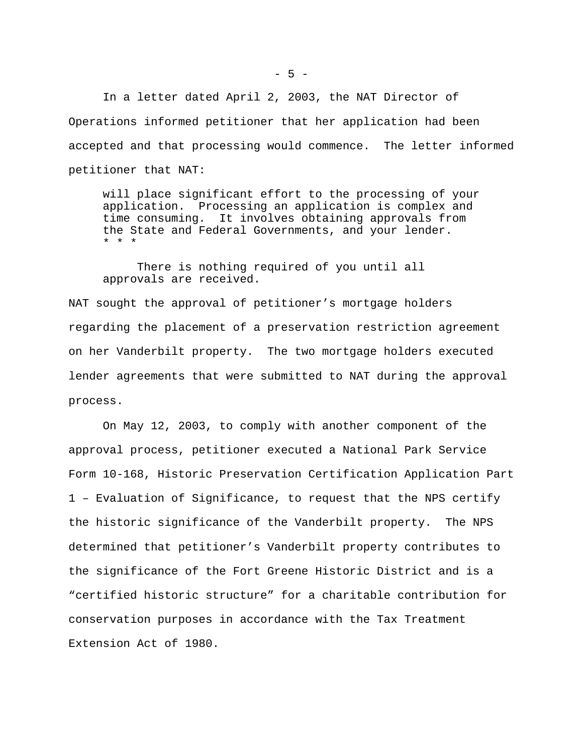In a letter dated April 2, 2003, the NAT Director of Operations informed petitioner that her application had been accepted and that processing would commence. The letter informed petitioner that NAT:

will place significant effort to the processing of your application. Processing an application is complex and time consuming. It involves obtaining approvals from the State and Federal Governments, and your lender. \* \* \*

There is nothing required of you until all approvals are received.

NAT sought the approval of petitioner's mortgage holders regarding the placement of a preservation restriction agreement on her Vanderbilt property. The two mortgage holders executed lender agreements that were submitted to NAT during the approval process.

On May 12, 2003, to comply with another component of the approval process, petitioner executed a National Park Service Form 10-168, Historic Preservation Certification Application Part 1 – Evaluation of Significance, to request that the NPS certify the historic significance of the Vanderbilt property. The NPS determined that petitioner's Vanderbilt property contributes to the significance of the Fort Greene Historic District and is a "certified historic structure" for a charitable contribution for conservation purposes in accordance with the Tax Treatment Extension Act of 1980.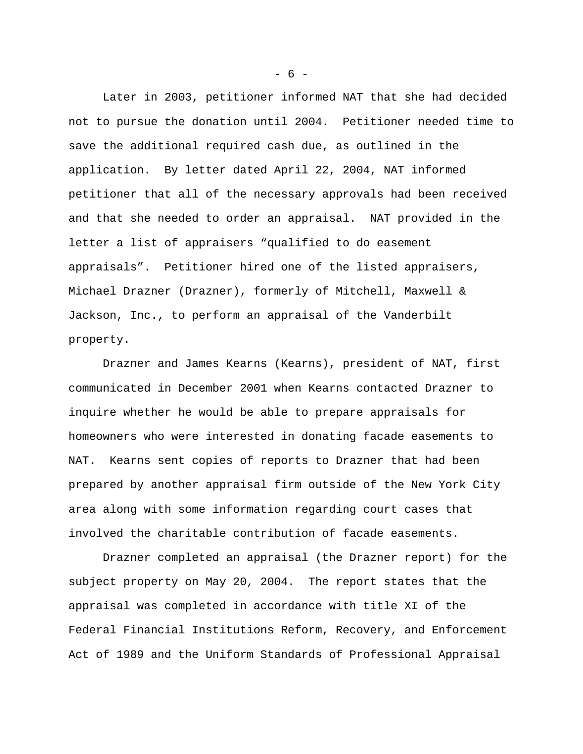Later in 2003, petitioner informed NAT that she had decided not to pursue the donation until 2004. Petitioner needed time to save the additional required cash due, as outlined in the application. By letter dated April 22, 2004, NAT informed petitioner that all of the necessary approvals had been received and that she needed to order an appraisal. NAT provided in the letter a list of appraisers "qualified to do easement appraisals". Petitioner hired one of the listed appraisers, Michael Drazner (Drazner), formerly of Mitchell, Maxwell & Jackson, Inc., to perform an appraisal of the Vanderbilt property.

Drazner and James Kearns (Kearns), president of NAT, first communicated in December 2001 when Kearns contacted Drazner to inquire whether he would be able to prepare appraisals for homeowners who were interested in donating facade easements to NAT. Kearns sent copies of reports to Drazner that had been prepared by another appraisal firm outside of the New York City area along with some information regarding court cases that involved the charitable contribution of facade easements.

Drazner completed an appraisal (the Drazner report) for the subject property on May 20, 2004. The report states that the appraisal was completed in accordance with title XI of the Federal Financial Institutions Reform, Recovery, and Enforcement Act of 1989 and the Uniform Standards of Professional Appraisal

- 6 -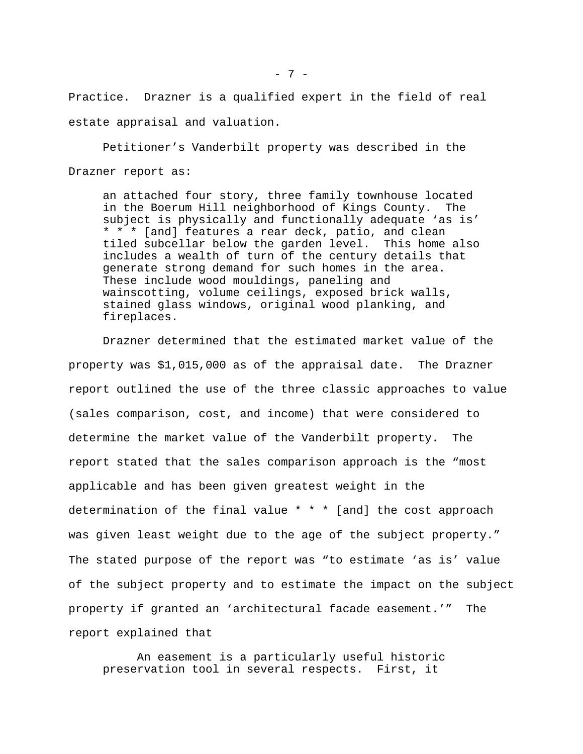Practice. Drazner is a qualified expert in the field of real estate appraisal and valuation.

Petitioner's Vanderbilt property was described in the Drazner report as:

an attached four story, three family townhouse located in the Boerum Hill neighborhood of Kings County. The subject is physically and functionally adequate 'as is' \* \* \* [and] features a rear deck, patio, and clean tiled subcellar below the garden level. This home also includes a wealth of turn of the century details that generate strong demand for such homes in the area. These include wood mouldings, paneling and wainscotting, volume ceilings, exposed brick walls, stained glass windows, original wood planking, and fireplaces.

Drazner determined that the estimated market value of the property was \$1,015,000 as of the appraisal date. The Drazner report outlined the use of the three classic approaches to value (sales comparison, cost, and income) that were considered to determine the market value of the Vanderbilt property. The report stated that the sales comparison approach is the "most applicable and has been given greatest weight in the determination of the final value \* \* \* [and] the cost approach was given least weight due to the age of the subject property." The stated purpose of the report was "to estimate 'as is' value of the subject property and to estimate the impact on the subject property if granted an 'architectural facade easement.'" The report explained that

An easement is a particularly useful historic preservation tool in several respects. First, it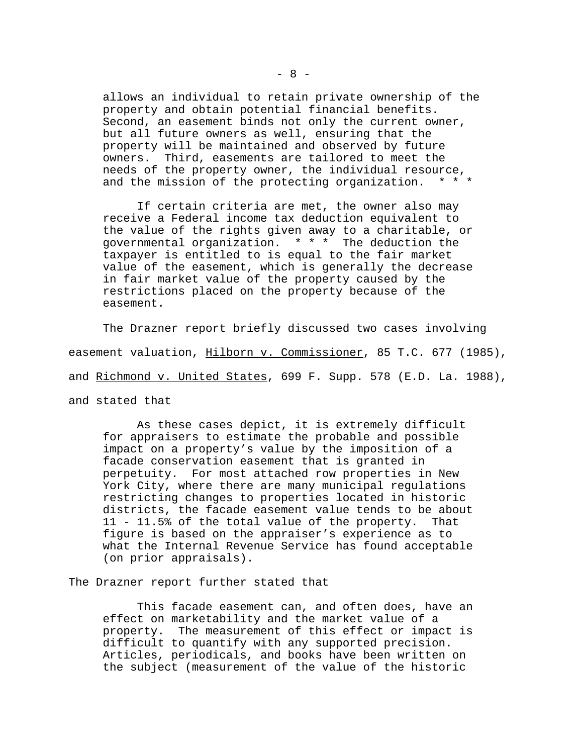allows an individual to retain private ownership of the property and obtain potential financial benefits. Second, an easement binds not only the current owner, but all future owners as well, ensuring that the property will be maintained and observed by future owners. Third, easements are tailored to meet the needs of the property owner, the individual resource, and the mission of the protecting organization. \* \* \*

If certain criteria are met, the owner also may receive a Federal income tax deduction equivalent to the value of the rights given away to a charitable, or governmental organization. \* \* \* The deduction the taxpayer is entitled to is equal to the fair market value of the easement, which is generally the decrease in fair market value of the property caused by the restrictions placed on the property because of the easement.

The Drazner report briefly discussed two cases involving easement valuation, Hilborn v. Commissioner, 85 T.C. 677 (1985), and Richmond v. United States, 699 F. Supp. 578 (E.D. La. 1988), and stated that

As these cases depict, it is extremely difficult for appraisers to estimate the probable and possible impact on a property's value by the imposition of a facade conservation easement that is granted in perpetuity. For most attached row properties in New York City, where there are many municipal regulations restricting changes to properties located in historic districts, the facade easement value tends to be about 11 - 11.5% of the total value of the property. That figure is based on the appraiser's experience as to what the Internal Revenue Service has found acceptable (on prior appraisals).

The Drazner report further stated that

This facade easement can, and often does, have an effect on marketability and the market value of a property. The measurement of this effect or impact is difficult to quantify with any supported precision. Articles, periodicals, and books have been written on the subject (measurement of the value of the historic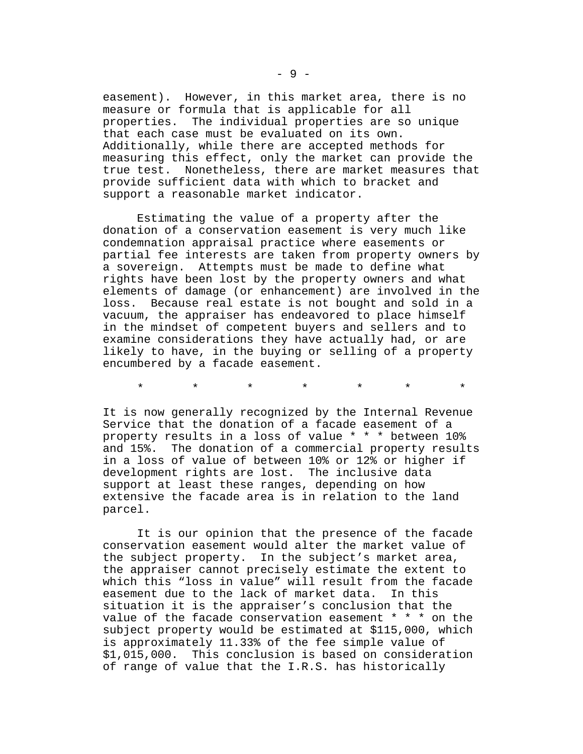easement). However, in this market area, there is no measure or formula that is applicable for all properties. The individual properties are so unique that each case must be evaluated on its own. Additionally, while there are accepted methods for measuring this effect, only the market can provide the true test. Nonetheless, there are market measures that provide sufficient data with which to bracket and support a reasonable market indicator.

Estimating the value of a property after the donation of a conservation easement is very much like condemnation appraisal practice where easements or partial fee interests are taken from property owners by a sovereign. Attempts must be made to define what rights have been lost by the property owners and what elements of damage (or enhancement) are involved in the loss. Because real estate is not bought and sold in a vacuum, the appraiser has endeavored to place himself in the mindset of competent buyers and sellers and to examine considerations they have actually had, or are likely to have, in the buying or selling of a property encumbered by a facade easement.

\* \* \* \* \* \* \*

It is now generally recognized by the Internal Revenue Service that the donation of a facade easement of a property results in a loss of value \* \* \* between 10% and 15%. The donation of a commercial property results in a loss of value of between 10% or 12% or higher if development rights are lost. The inclusive data support at least these ranges, depending on how extensive the facade area is in relation to the land parcel.

It is our opinion that the presence of the facade conservation easement would alter the market value of the subject property. In the subject's market area, the appraiser cannot precisely estimate the extent to which this "loss in value" will result from the facade easement due to the lack of market data. In this situation it is the appraiser's conclusion that the value of the facade conservation easement \* \* \* on the subject property would be estimated at \$115,000, which is approximately 11.33% of the fee simple value of \$1,015,000. This conclusion is based on consideration of range of value that the I.R.S. has historically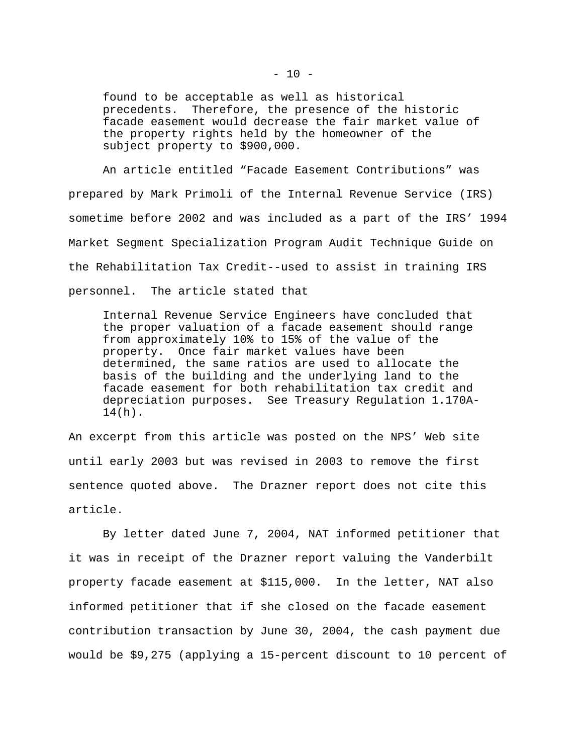found to be acceptable as well as historical precedents. Therefore, the presence of the historic facade easement would decrease the fair market value of the property rights held by the homeowner of the subject property to \$900,000.

An article entitled "Facade Easement Contributions" was prepared by Mark Primoli of the Internal Revenue Service (IRS) sometime before 2002 and was included as a part of the IRS' 1994 Market Segment Specialization Program Audit Technique Guide on the Rehabilitation Tax Credit--used to assist in training IRS personnel. The article stated that

Internal Revenue Service Engineers have concluded that the proper valuation of a facade easement should range from approximately 10% to 15% of the value of the property. Once fair market values have been determined, the same ratios are used to allocate the basis of the building and the underlying land to the facade easement for both rehabilitation tax credit and depreciation purposes. See Treasury Regulation 1.170A-14(h).

An excerpt from this article was posted on the NPS' Web site until early 2003 but was revised in 2003 to remove the first sentence quoted above. The Drazner report does not cite this article.

By letter dated June 7, 2004, NAT informed petitioner that it was in receipt of the Drazner report valuing the Vanderbilt property facade easement at \$115,000. In the letter, NAT also informed petitioner that if she closed on the facade easement contribution transaction by June 30, 2004, the cash payment due would be \$9,275 (applying a 15-percent discount to 10 percent of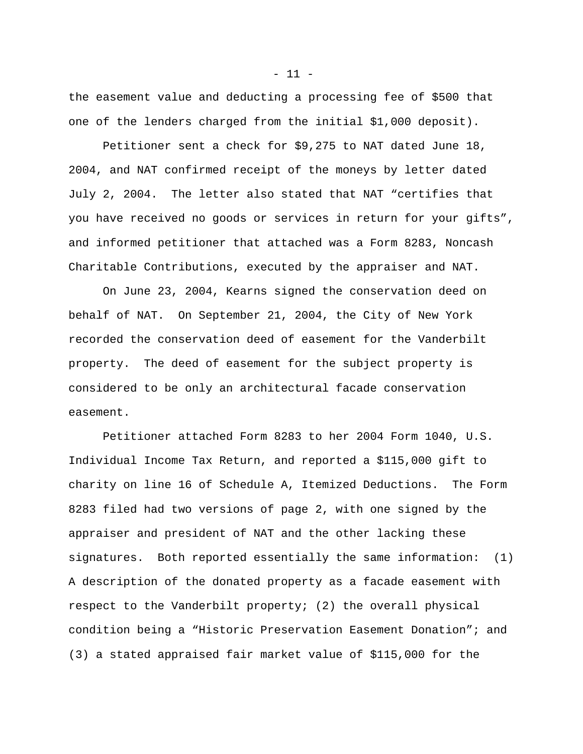the easement value and deducting a processing fee of \$500 that one of the lenders charged from the initial \$1,000 deposit).

Petitioner sent a check for \$9,275 to NAT dated June 18, 2004, and NAT confirmed receipt of the moneys by letter dated July 2, 2004. The letter also stated that NAT "certifies that you have received no goods or services in return for your gifts", and informed petitioner that attached was a Form 8283, Noncash Charitable Contributions, executed by the appraiser and NAT.

On June 23, 2004, Kearns signed the conservation deed on behalf of NAT. On September 21, 2004, the City of New York recorded the conservation deed of easement for the Vanderbilt property. The deed of easement for the subject property is considered to be only an architectural facade conservation easement.

Petitioner attached Form 8283 to her 2004 Form 1040, U.S. Individual Income Tax Return, and reported a \$115,000 gift to charity on line 16 of Schedule A, Itemized Deductions. The Form 8283 filed had two versions of page 2, with one signed by the appraiser and president of NAT and the other lacking these signatures. Both reported essentially the same information: (1) A description of the donated property as a facade easement with respect to the Vanderbilt property; (2) the overall physical condition being a "Historic Preservation Easement Donation"; and (3) a stated appraised fair market value of \$115,000 for the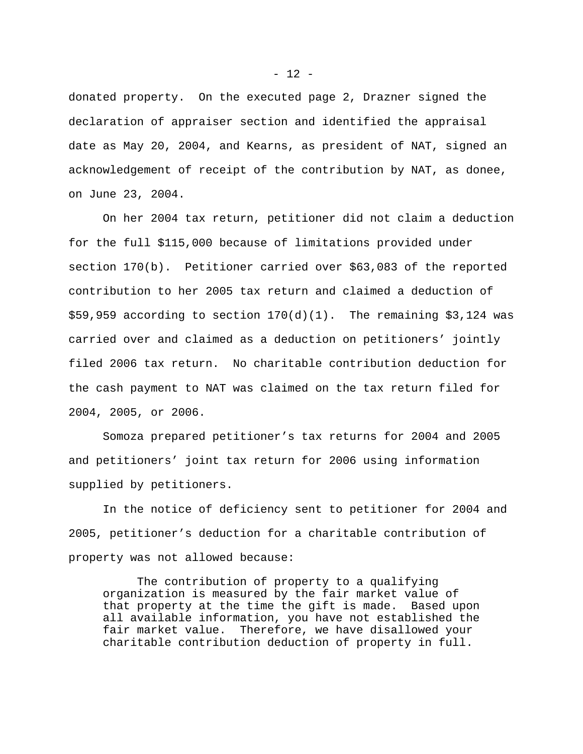donated property. On the executed page 2, Drazner signed the declaration of appraiser section and identified the appraisal date as May 20, 2004, and Kearns, as president of NAT, signed an acknowledgement of receipt of the contribution by NAT, as donee, on June 23, 2004.

On her 2004 tax return, petitioner did not claim a deduction for the full \$115,000 because of limitations provided under section 170(b). Petitioner carried over \$63,083 of the reported contribution to her 2005 tax return and claimed a deduction of  $$59,959$  according to section  $170(d)(1)$ . The remaining \$3,124 was carried over and claimed as a deduction on petitioners' jointly filed 2006 tax return. No charitable contribution deduction for the cash payment to NAT was claimed on the tax return filed for 2004, 2005, or 2006.

Somoza prepared petitioner's tax returns for 2004 and 2005 and petitioners' joint tax return for 2006 using information supplied by petitioners.

In the notice of deficiency sent to petitioner for 2004 and 2005, petitioner's deduction for a charitable contribution of property was not allowed because:

The contribution of property to a qualifying organization is measured by the fair market value of that property at the time the gift is made. Based upon all available information, you have not established the fair market value. Therefore, we have disallowed your charitable contribution deduction of property in full.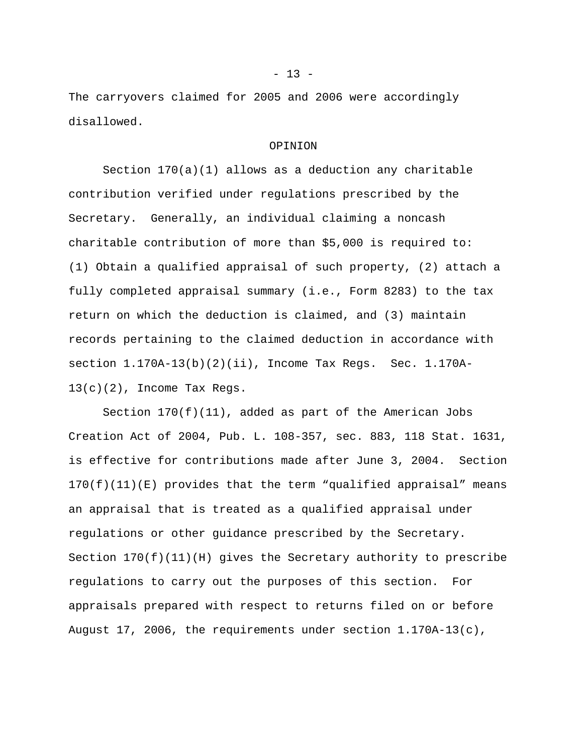The carryovers claimed for 2005 and 2006 were accordingly disallowed.

#### OPINION

Section  $170(a)(1)$  allows as a deduction any charitable contribution verified under regulations prescribed by the Secretary. Generally, an individual claiming a noncash charitable contribution of more than \$5,000 is required to: (1) Obtain a qualified appraisal of such property, (2) attach a fully completed appraisal summary (i.e., Form 8283) to the tax return on which the deduction is claimed, and (3) maintain records pertaining to the claimed deduction in accordance with section 1.170A-13(b)(2)(ii), Income Tax Regs. Sec. 1.170A-13(c)(2), Income Tax Regs.

Section  $170(f)(11)$ , added as part of the American Jobs Creation Act of 2004, Pub. L. 108-357, sec. 883, 118 Stat. 1631, is effective for contributions made after June 3, 2004. Section 170(f)(11)(E) provides that the term "qualified appraisal" means an appraisal that is treated as a qualified appraisal under regulations or other guidance prescribed by the Secretary. Section  $170(f)(11)(H)$  gives the Secretary authority to prescribe regulations to carry out the purposes of this section. For appraisals prepared with respect to returns filed on or before August 17, 2006, the requirements under section 1.170A-13(c),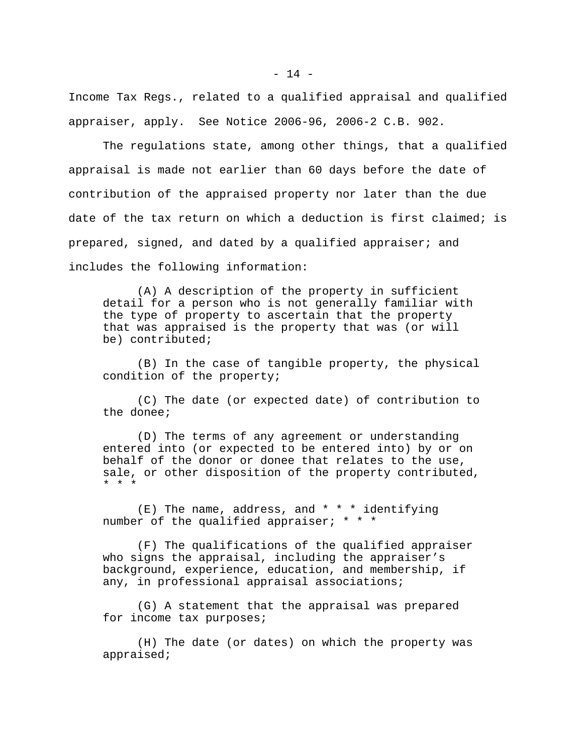Income Tax Regs., related to a qualified appraisal and qualified appraiser, apply. See Notice 2006-96, 2006-2 C.B. 902.

The regulations state, among other things, that a qualified appraisal is made not earlier than 60 days before the date of contribution of the appraised property nor later than the due date of the tax return on which a deduction is first claimed; is prepared, signed, and dated by a qualified appraiser; and includes the following information:

(A) A description of the property in sufficient detail for a person who is not generally familiar with the type of property to ascertain that the property that was appraised is the property that was (or will be) contributed;

(B) In the case of tangible property, the physical condition of the property;

(C) The date (or expected date) of contribution to the donee;

(D) The terms of any agreement or understanding entered into (or expected to be entered into) by or on behalf of the donor or donee that relates to the use, sale, or other disposition of the property contributed, \* \* \*

 $(E)$  The name, address, and \* \* \* identifying number of the qualified appraiser; \* \* \*

(F) The qualifications of the qualified appraiser who signs the appraisal, including the appraiser's background, experience, education, and membership, if any, in professional appraisal associations;

(G) A statement that the appraisal was prepared for income tax purposes;

(H) The date (or dates) on which the property was appraised;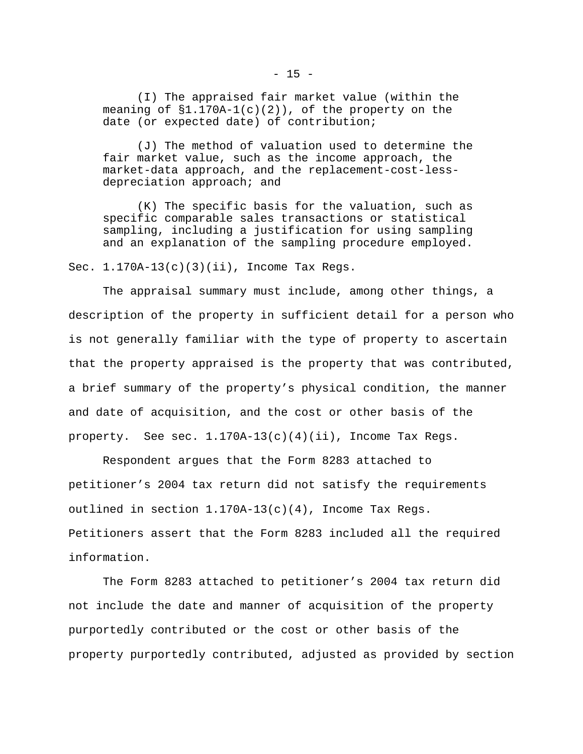(I) The appraised fair market value (within the meaning of  $$1.170A-1(c)(2))$ , of the property on the date (or expected date) of contribution;

(J) The method of valuation used to determine the fair market value, such as the income approach, the market-data approach, and the replacement-cost-lessdepreciation approach; and

(K) The specific basis for the valuation, such as specific comparable sales transactions or statistical sampling, including a justification for using sampling and an explanation of the sampling procedure employed.

Sec. 1.170A-13(c)(3)(ii), Income Tax Regs.

The appraisal summary must include, among other things, a description of the property in sufficient detail for a person who is not generally familiar with the type of property to ascertain that the property appraised is the property that was contributed, a brief summary of the property's physical condition, the manner and date of acquisition, and the cost or other basis of the property. See sec.  $1.170A-13(c)(4)(ii)$ , Income Tax Regs.

Respondent argues that the Form 8283 attached to petitioner's 2004 tax return did not satisfy the requirements outlined in section  $1.170A-13(c)(4)$ , Income Tax Regs. Petitioners assert that the Form 8283 included all the required information.

The Form 8283 attached to petitioner's 2004 tax return did not include the date and manner of acquisition of the property purportedly contributed or the cost or other basis of the property purportedly contributed, adjusted as provided by section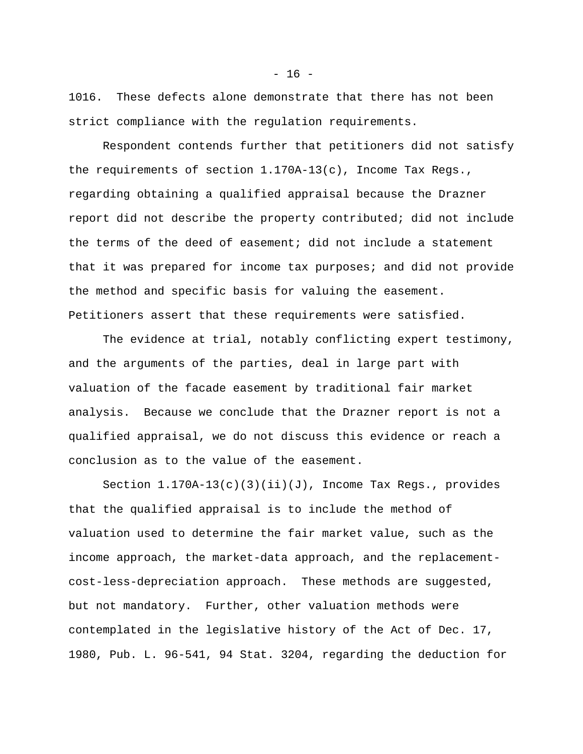1016. These defects alone demonstrate that there has not been strict compliance with the regulation requirements.

Respondent contends further that petitioners did not satisfy the requirements of section 1.170A-13(c), Income Tax Regs., regarding obtaining a qualified appraisal because the Drazner report did not describe the property contributed; did not include the terms of the deed of easement; did not include a statement that it was prepared for income tax purposes; and did not provide the method and specific basis for valuing the easement. Petitioners assert that these requirements were satisfied.

The evidence at trial, notably conflicting expert testimony, and the arguments of the parties, deal in large part with valuation of the facade easement by traditional fair market analysis. Because we conclude that the Drazner report is not a qualified appraisal, we do not discuss this evidence or reach a conclusion as to the value of the easement.

Section  $1.170A-13(c)(3)(ii)(J)$ , Income Tax Regs., provides that the qualified appraisal is to include the method of valuation used to determine the fair market value, such as the income approach, the market-data approach, and the replacementcost-less-depreciation approach. These methods are suggested, but not mandatory. Further, other valuation methods were contemplated in the legislative history of the Act of Dec. 17, 1980, Pub. L. 96-541, 94 Stat. 3204, regarding the deduction for

 $- 16 -$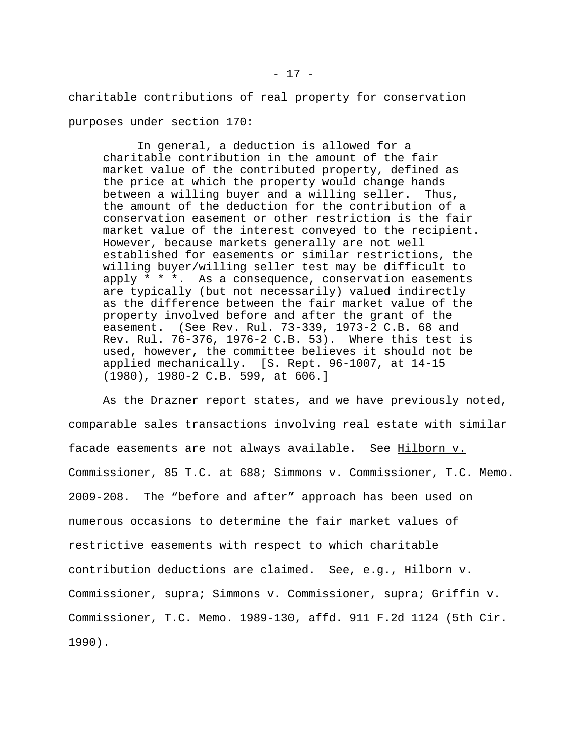charitable contributions of real property for conservation purposes under section 170:

In general, a deduction is allowed for a charitable contribution in the amount of the fair market value of the contributed property, defined as the price at which the property would change hands between a willing buyer and a willing seller. Thus, the amount of the deduction for the contribution of a conservation easement or other restriction is the fair market value of the interest conveyed to the recipient. However, because markets generally are not well established for easements or similar restrictions, the willing buyer/willing seller test may be difficult to apply \* \* \*. As a consequence, conservation easements are typically (but not necessarily) valued indirectly as the difference between the fair market value of the property involved before and after the grant of the easement. (See Rev. Rul. 73-339, 1973-2 C.B. 68 and Rev. Rul. 76-376, 1976-2 C.B. 53). Where this test is used, however, the committee believes it should not be applied mechanically. [S. Rept. 96-1007, at 14-15 (1980), 1980-2 C.B. 599, at 606.]

As the Drazner report states, and we have previously noted, comparable sales transactions involving real estate with similar facade easements are not always available. See Hilborn v. Commissioner, 85 T.C. at 688; Simmons v. Commissioner, T.C. Memo. 2009-208. The "before and after" approach has been used on numerous occasions to determine the fair market values of restrictive easements with respect to which charitable contribution deductions are claimed. See, e.g., Hilborn v. Commissioner, supra; Simmons v. Commissioner, supra; Griffin v. Commissioner, T.C. Memo. 1989-130, affd. 911 F.2d 1124 (5th Cir. 1990).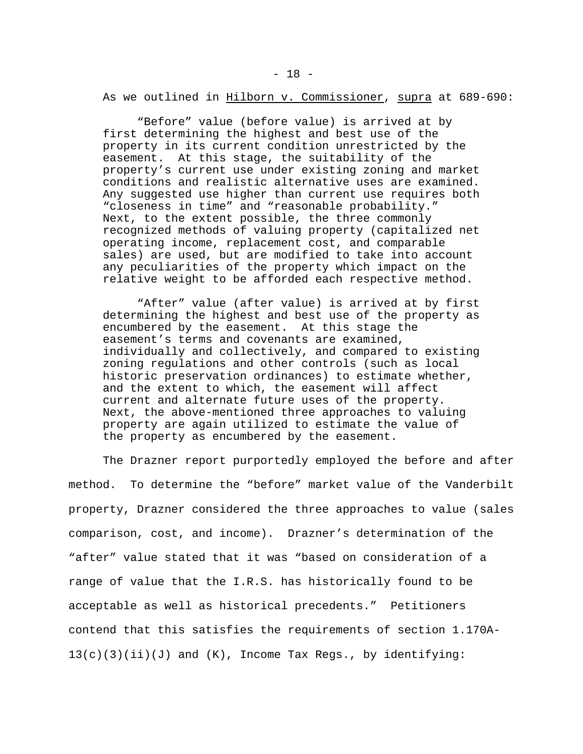"Before" value (before value) is arrived at by first determining the highest and best use of the property in its current condition unrestricted by the easement. At this stage, the suitability of the property's current use under existing zoning and market conditions and realistic alternative uses are examined. Any suggested use higher than current use requires both "closeness in time" and "reasonable probability." Next, to the extent possible, the three commonly recognized methods of valuing property (capitalized net operating income, replacement cost, and comparable sales) are used, but are modified to take into account any peculiarities of the property which impact on the relative weight to be afforded each respective method.

"After" value (after value) is arrived at by first determining the highest and best use of the property as encumbered by the easement. At this stage the easement's terms and covenants are examined, individually and collectively, and compared to existing zoning regulations and other controls (such as local historic preservation ordinances) to estimate whether, and the extent to which, the easement will affect current and alternate future uses of the property. Next, the above-mentioned three approaches to valuing property are again utilized to estimate the value of the property as encumbered by the easement.

The Drazner report purportedly employed the before and after method. To determine the "before" market value of the Vanderbilt property, Drazner considered the three approaches to value (sales comparison, cost, and income). Drazner's determination of the "after" value stated that it was "based on consideration of a range of value that the I.R.S. has historically found to be acceptable as well as historical precedents." Petitioners contend that this satisfies the requirements of section 1.170A- $13(c)(3)(ii)(J)$  and  $(K)$ , Income Tax Regs., by identifying: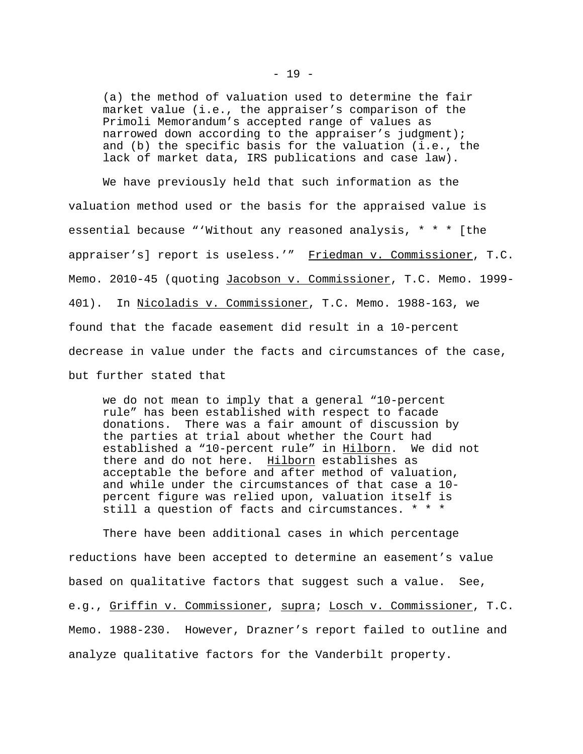(a) the method of valuation used to determine the fair market value (i.e., the appraiser's comparison of the Primoli Memorandum's accepted range of values as narrowed down according to the appraiser's judgment); and (b) the specific basis for the valuation (i.e., the lack of market data, IRS publications and case law).

We have previously held that such information as the valuation method used or the basis for the appraised value is essential because "'Without any reasoned analysis, \* \* \* [the appraiser's] report is useless.'" Friedman v. Commissioner, T.C. Memo. 2010-45 (quoting Jacobson v. Commissioner, T.C. Memo. 1999-401). In Nicoladis v. Commissioner, T.C. Memo. 1988-163, we found that the facade easement did result in a 10-percent decrease in value under the facts and circumstances of the case, but further stated that

we do not mean to imply that a general "10-percent rule" has been established with respect to facade donations. There was a fair amount of discussion by the parties at trial about whether the Court had established a "10-percent rule" in Hilborn. We did not there and do not here. Hilborn establishes as acceptable the before and after method of valuation, and while under the circumstances of that case a 10 percent figure was relied upon, valuation itself is still a question of facts and circumstances. \* \* \*

There have been additional cases in which percentage reductions have been accepted to determine an easement's value based on qualitative factors that suggest such a value. See, e.g., Griffin v. Commissioner, supra; Losch v. Commissioner, T.C. Memo. 1988-230. However, Drazner's report failed to outline and analyze qualitative factors for the Vanderbilt property.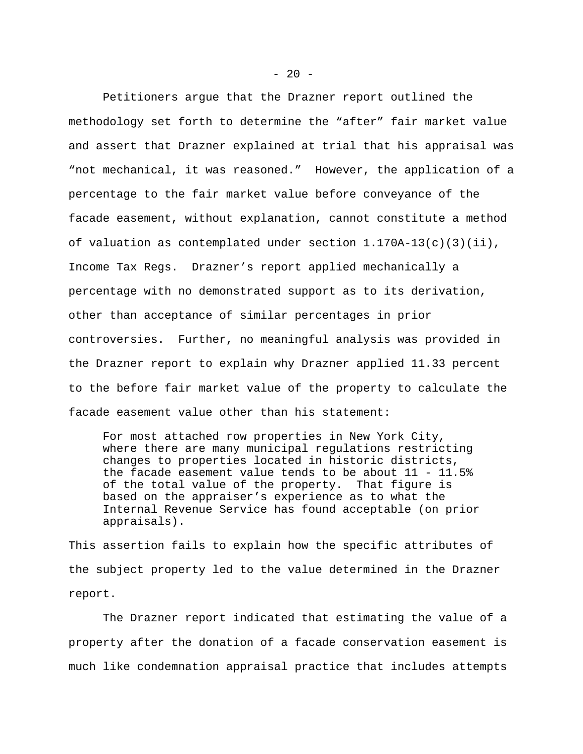Petitioners argue that the Drazner report outlined the methodology set forth to determine the "after" fair market value and assert that Drazner explained at trial that his appraisal was "not mechanical, it was reasoned." However, the application of a percentage to the fair market value before conveyance of the facade easement, without explanation, cannot constitute a method of valuation as contemplated under section  $1.170A-13(c)(3)(ii)$ , Income Tax Regs. Drazner's report applied mechanically a percentage with no demonstrated support as to its derivation, other than acceptance of similar percentages in prior controversies. Further, no meaningful analysis was provided in the Drazner report to explain why Drazner applied 11.33 percent to the before fair market value of the property to calculate the facade easement value other than his statement:

For most attached row properties in New York City, where there are many municipal regulations restricting changes to properties located in historic districts, the facade easement value tends to be about  $11 - 11.5\$ of the total value of the property. That figure is based on the appraiser's experience as to what the Internal Revenue Service has found acceptable (on prior appraisals).

This assertion fails to explain how the specific attributes of the subject property led to the value determined in the Drazner report.

The Drazner report indicated that estimating the value of a property after the donation of a facade conservation easement is much like condemnation appraisal practice that includes attempts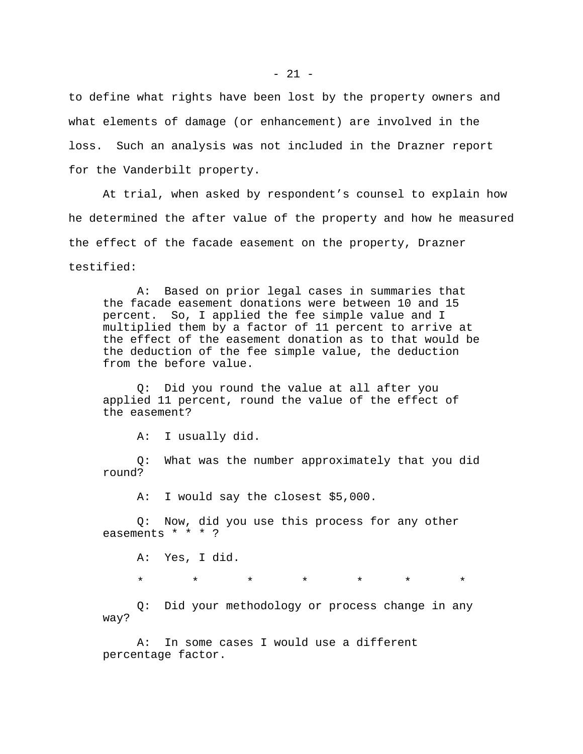to define what rights have been lost by the property owners and what elements of damage (or enhancement) are involved in the loss. Such an analysis was not included in the Drazner report for the Vanderbilt property.

At trial, when asked by respondent's counsel to explain how he determined the after value of the property and how he measured the effect of the facade easement on the property, Drazner testified:

A: Based on prior legal cases in summaries that the facade easement donations were between 10 and 15 percent. So, I applied the fee simple value and I multiplied them by a factor of 11 percent to arrive at the effect of the easement donation as to that would be the deduction of the fee simple value, the deduction from the before value.

Q: Did you round the value at all after you applied 11 percent, round the value of the effect of the easement?

A: I usually did.

Q: What was the number approximately that you did round?

A: I would say the closest \$5,000.

Q: Now, did you use this process for any other easements \* \* \* ?

A: Yes, I did.

\* \* \* \* \* \* \*

Q: Did your methodology or process change in any way?

A: In some cases I would use a different percentage factor.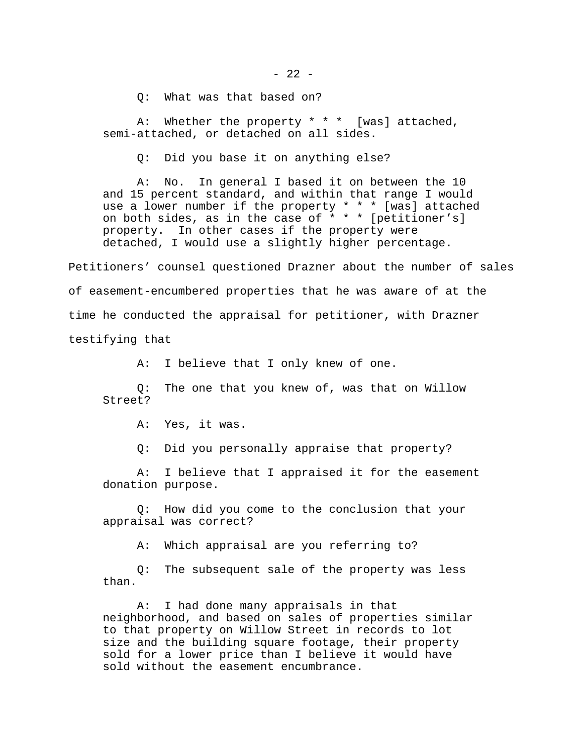Q: What was that based on?

A: Whether the property \* \* \* [was] attached, semi-attached, or detached on all sides.

Q: Did you base it on anything else?

A: No. In general I based it on between the 10 and 15 percent standard, and within that range I would use a lower number if the property \* \* \* [was] attached on both sides, as in the case of  $* * * [petitioner's]$ property. In other cases if the property were detached, I would use a slightly higher percentage.

Petitioners' counsel questioned Drazner about the number of sales of easement-encumbered properties that he was aware of at the time he conducted the appraisal for petitioner, with Drazner testifying that

A: I believe that I only knew of one.

Q: The one that you knew of, was that on Willow Street?

A: Yes, it was.

Q: Did you personally appraise that property?

A: I believe that I appraised it for the easement donation purpose.

Q: How did you come to the conclusion that your appraisal was correct?

A: Which appraisal are you referring to?

Q: The subsequent sale of the property was less than.

A: I had done many appraisals in that neighborhood, and based on sales of properties similar to that property on Willow Street in records to lot size and the building square footage, their property sold for a lower price than I believe it would have sold without the easement encumbrance.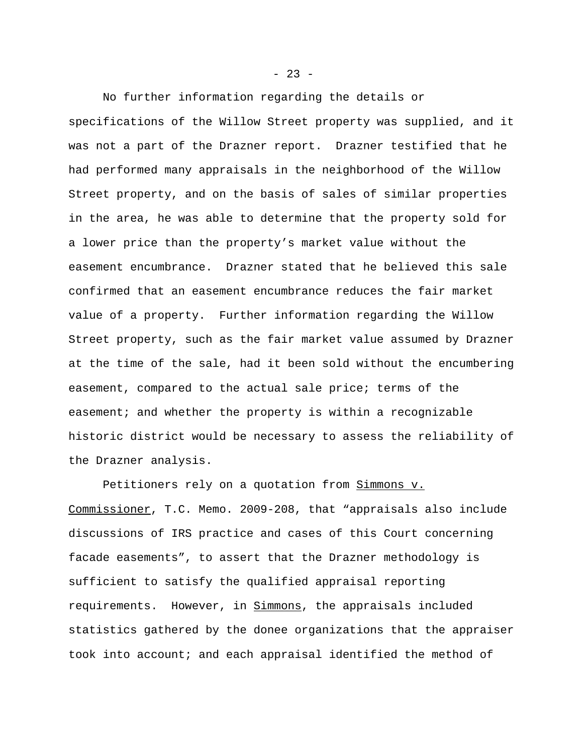No further information regarding the details or specifications of the Willow Street property was supplied, and it was not a part of the Drazner report. Drazner testified that he had performed many appraisals in the neighborhood of the Willow Street property, and on the basis of sales of similar properties in the area, he was able to determine that the property sold for a lower price than the property's market value without the easement encumbrance. Drazner stated that he believed this sale confirmed that an easement encumbrance reduces the fair market value of a property. Further information regarding the Willow Street property, such as the fair market value assumed by Drazner at the time of the sale, had it been sold without the encumbering easement, compared to the actual sale price; terms of the easement; and whether the property is within a recognizable historic district would be necessary to assess the reliability of the Drazner analysis.

Petitioners rely on a quotation from Simmons v. Commissioner, T.C. Memo. 2009-208, that "appraisals also include discussions of IRS practice and cases of this Court concerning facade easements", to assert that the Drazner methodology is sufficient to satisfy the qualified appraisal reporting requirements. However, in Simmons, the appraisals included statistics gathered by the donee organizations that the appraiser took into account; and each appraisal identified the method of

 $- 23 -$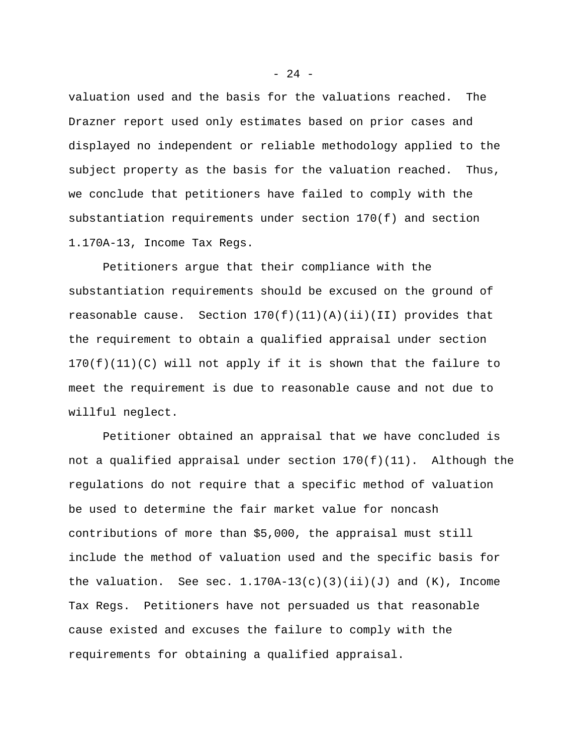valuation used and the basis for the valuations reached. The Drazner report used only estimates based on prior cases and displayed no independent or reliable methodology applied to the subject property as the basis for the valuation reached. Thus, we conclude that petitioners have failed to comply with the substantiation requirements under section 170(f) and section 1.170A-13, Income Tax Regs.

Petitioners argue that their compliance with the substantiation requirements should be excused on the ground of reasonable cause. Section  $170(f)(11)(A)(ii)(II)$  provides that the requirement to obtain a qualified appraisal under section  $170(f)(11)(C)$  will not apply if it is shown that the failure to meet the requirement is due to reasonable cause and not due to willful neglect.

Petitioner obtained an appraisal that we have concluded is not a qualified appraisal under section 170(f)(11). Although the regulations do not require that a specific method of valuation be used to determine the fair market value for noncash contributions of more than \$5,000, the appraisal must still include the method of valuation used and the specific basis for the valuation. See sec.  $1.170A-13(c)(3)(ii)(J)$  and  $(K)$ , Income Tax Regs. Petitioners have not persuaded us that reasonable cause existed and excuses the failure to comply with the requirements for obtaining a qualified appraisal.

- 24 -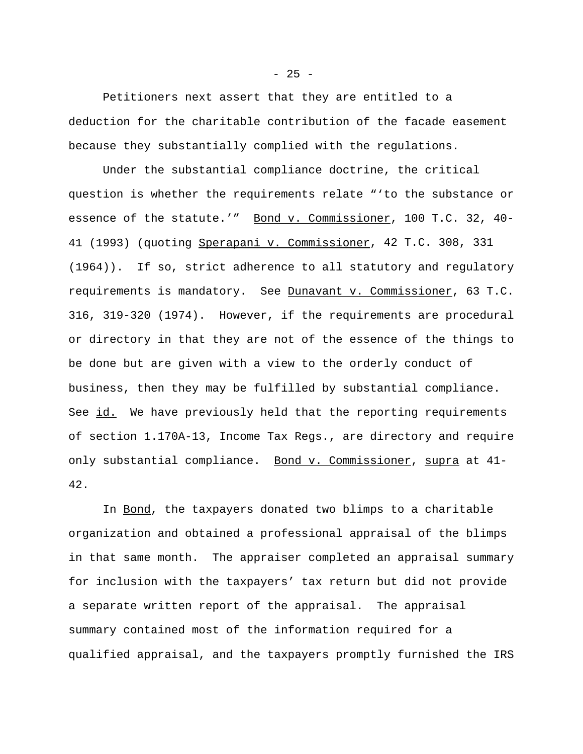Petitioners next assert that they are entitled to a deduction for the charitable contribution of the facade easement because they substantially complied with the regulations.

Under the substantial compliance doctrine, the critical question is whether the requirements relate "'to the substance or essence of the statute.'" Bond v. Commissioner, 100 T.C. 32, 40-41 (1993) (quoting Sperapani v. Commissioner, 42 T.C. 308, 331 (1964)). If so, strict adherence to all statutory and regulatory requirements is mandatory. See Dunavant v. Commissioner, 63 T.C. 316, 319-320 (1974). However, if the requirements are procedural or directory in that they are not of the essence of the things to be done but are given with a view to the orderly conduct of business, then they may be fulfilled by substantial compliance. See id. We have previously held that the reporting requirements of section 1.170A-13, Income Tax Regs., are directory and require only substantial compliance. Bond v. Commissioner, supra at 41- 42.

In Bond, the taxpayers donated two blimps to a charitable organization and obtained a professional appraisal of the blimps in that same month. The appraiser completed an appraisal summary for inclusion with the taxpayers' tax return but did not provide a separate written report of the appraisal. The appraisal summary contained most of the information required for a qualified appraisal, and the taxpayers promptly furnished the IRS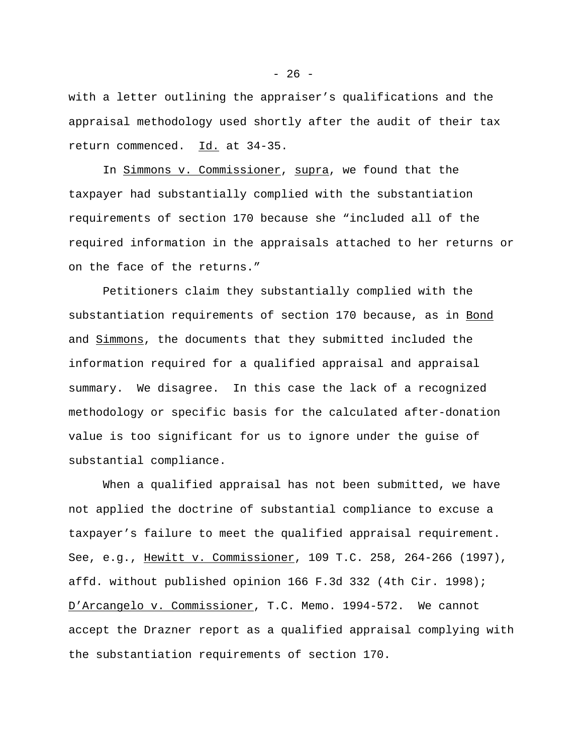with a letter outlining the appraiser's qualifications and the appraisal methodology used shortly after the audit of their tax return commenced. Id. at 34-35.

In Simmons v. Commissioner, supra, we found that the taxpayer had substantially complied with the substantiation requirements of section 170 because she "included all of the required information in the appraisals attached to her returns or on the face of the returns."

Petitioners claim they substantially complied with the substantiation requirements of section 170 because, as in Bond and **Simmons**, the documents that they submitted included the information required for a qualified appraisal and appraisal summary. We disagree. In this case the lack of a recognized methodology or specific basis for the calculated after-donation value is too significant for us to ignore under the guise of substantial compliance.

When a qualified appraisal has not been submitted, we have not applied the doctrine of substantial compliance to excuse a taxpayer's failure to meet the qualified appraisal requirement. See, e.g., Hewitt v. Commissioner, 109 T.C. 258, 264-266 (1997), affd. without published opinion 166 F.3d 332 (4th Cir. 1998); D'Arcangelo v. Commissioner, T.C. Memo. 1994-572. We cannot accept the Drazner report as a qualified appraisal complying with the substantiation requirements of section 170.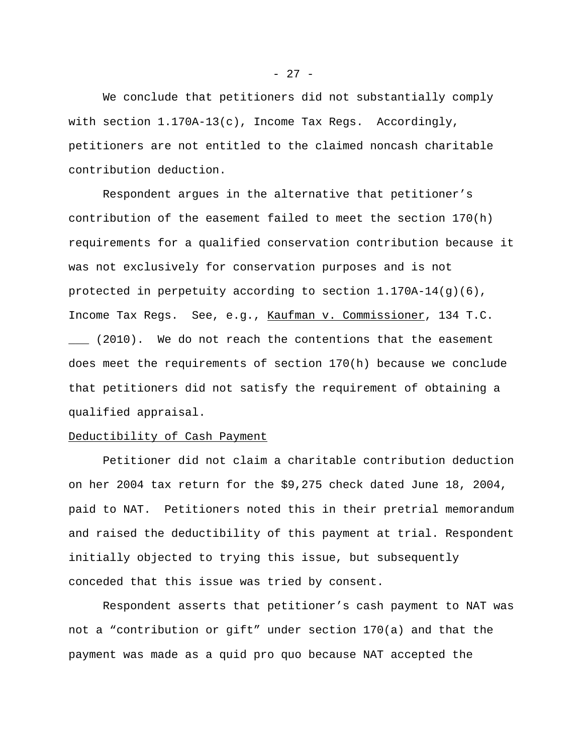We conclude that petitioners did not substantially comply with section 1.170A-13(c), Income Tax Regs. Accordingly, petitioners are not entitled to the claimed noncash charitable contribution deduction.

Respondent argues in the alternative that petitioner's contribution of the easement failed to meet the section 170(h) requirements for a qualified conservation contribution because it was not exclusively for conservation purposes and is not protected in perpetuity according to section  $1.170A-14(g)(6)$ , Income Tax Regs. See, e.g., Kaufman v. Commissioner, 134 T.C. \_\_\_ (2010). We do not reach the contentions that the easement does meet the requirements of section 170(h) because we conclude that petitioners did not satisfy the requirement of obtaining a qualified appraisal.

## Deductibility of Cash Payment

Petitioner did not claim a charitable contribution deduction on her 2004 tax return for the \$9,275 check dated June 18, 2004, paid to NAT. Petitioners noted this in their pretrial memorandum and raised the deductibility of this payment at trial. Respondent initially objected to trying this issue, but subsequently conceded that this issue was tried by consent.

Respondent asserts that petitioner's cash payment to NAT was not a "contribution or gift" under section 170(a) and that the payment was made as a quid pro quo because NAT accepted the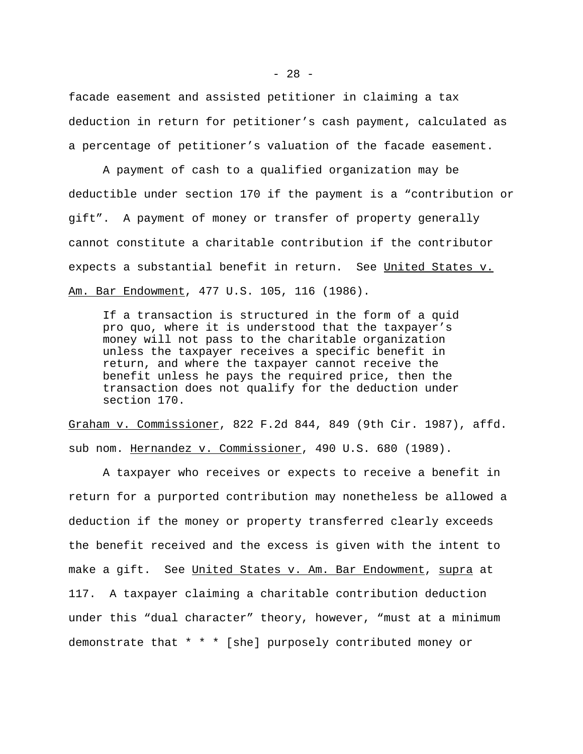facade easement and assisted petitioner in claiming a tax deduction in return for petitioner's cash payment, calculated as a percentage of petitioner's valuation of the facade easement.

A payment of cash to a qualified organization may be deductible under section 170 if the payment is a "contribution or gift". A payment of money or transfer of property generally cannot constitute a charitable contribution if the contributor expects a substantial benefit in return. See United States v. Am. Bar Endowment, 477 U.S. 105, 116 (1986).

If a transaction is structured in the form of a quid pro quo, where it is understood that the taxpayer's money will not pass to the charitable organization unless the taxpayer receives a specific benefit in return, and where the taxpayer cannot receive the benefit unless he pays the required price, then the transaction does not qualify for the deduction under section 170.

Graham v. Commissioner, 822 F.2d 844, 849 (9th Cir. 1987), affd. sub nom. Hernandez v. Commissioner, 490 U.S. 680 (1989).

A taxpayer who receives or expects to receive a benefit in return for a purported contribution may nonetheless be allowed a deduction if the money or property transferred clearly exceeds the benefit received and the excess is given with the intent to make a gift. See United States v. Am. Bar Endowment, supra at 117. A taxpayer claiming a charitable contribution deduction under this "dual character" theory, however, "must at a minimum demonstrate that \* \* \* [she] purposely contributed money or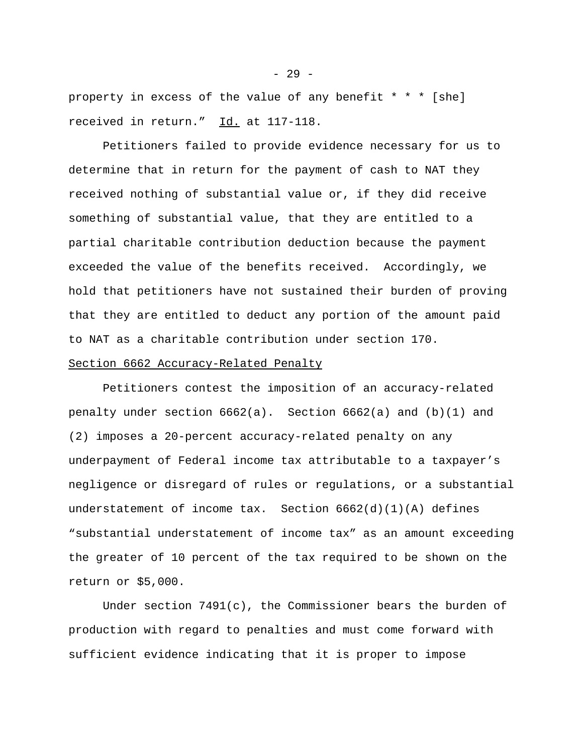property in excess of the value of any benefit \* \* \* [she] received in return." Id. at 117-118.

Petitioners failed to provide evidence necessary for us to determine that in return for the payment of cash to NAT they received nothing of substantial value or, if they did receive something of substantial value, that they are entitled to a partial charitable contribution deduction because the payment exceeded the value of the benefits received. Accordingly, we hold that petitioners have not sustained their burden of proving that they are entitled to deduct any portion of the amount paid to NAT as a charitable contribution under section 170.

## Section 6662 Accuracy-Related Penalty

Petitioners contest the imposition of an accuracy-related penalty under section  $6662(a)$ . Section  $6662(a)$  and  $(b)(1)$  and (2) imposes a 20-percent accuracy-related penalty on any underpayment of Federal income tax attributable to a taxpayer's negligence or disregard of rules or regulations, or a substantial understatement of income  $\text{tax.}$  Section  $6662(\text{d})(1)(\text{A})$  defines "substantial understatement of income tax" as an amount exceeding the greater of 10 percent of the tax required to be shown on the return or \$5,000.

Under section  $7491(c)$ , the Commissioner bears the burden of production with regard to penalties and must come forward with sufficient evidence indicating that it is proper to impose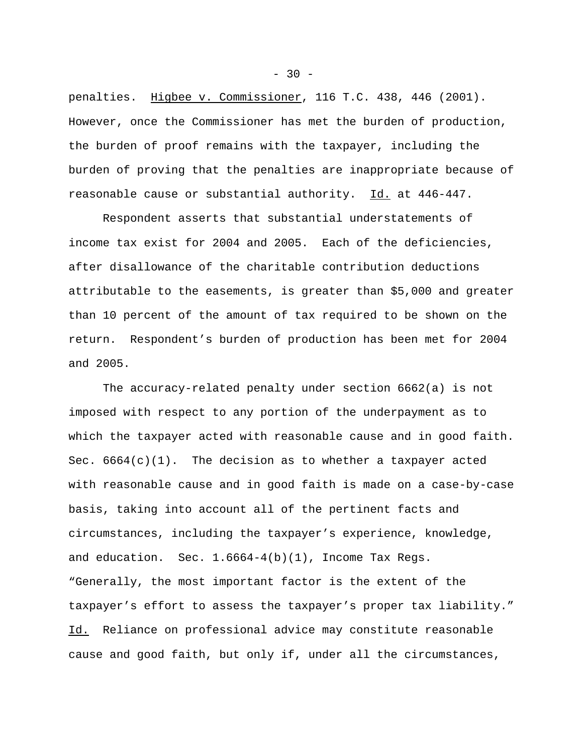penalties. Higbee v. Commissioner, 116 T.C. 438, 446 (2001). However, once the Commissioner has met the burden of production, the burden of proof remains with the taxpayer, including the burden of proving that the penalties are inappropriate because of reasonable cause or substantial authority. Id. at 446-447.

Respondent asserts that substantial understatements of income tax exist for 2004 and 2005. Each of the deficiencies, after disallowance of the charitable contribution deductions attributable to the easements, is greater than \$5,000 and greater than 10 percent of the amount of tax required to be shown on the return. Respondent's burden of production has been met for 2004 and 2005.

The accuracy-related penalty under section 6662(a) is not imposed with respect to any portion of the underpayment as to which the taxpayer acted with reasonable cause and in good faith. Sec.  $6664(c)(1)$ . The decision as to whether a taxpayer acted with reasonable cause and in good faith is made on a case-by-case basis, taking into account all of the pertinent facts and circumstances, including the taxpayer's experience, knowledge, and education. Sec.  $1.6664-4(b)(1)$ , Income Tax Regs. "Generally, the most important factor is the extent of the taxpayer's effort to assess the taxpayer's proper tax liability." Id. Reliance on professional advice may constitute reasonable cause and good faith, but only if, under all the circumstances,

 $-30 -$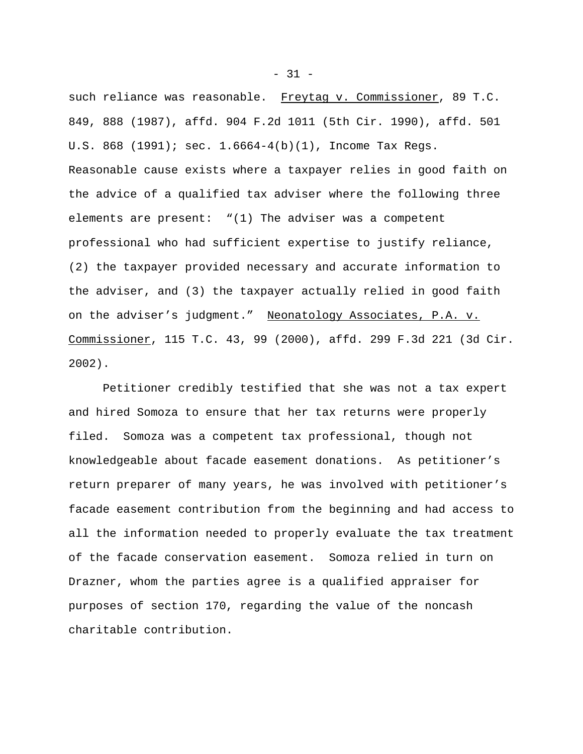such reliance was reasonable. Freytag v. Commissioner, 89 T.C. 849, 888 (1987), affd. 904 F.2d 1011 (5th Cir. 1990), affd. 501 U.S. 868 (1991); sec. 1.6664-4(b)(1), Income Tax Regs. Reasonable cause exists where a taxpayer relies in good faith on the advice of a qualified tax adviser where the following three elements are present: "(1) The adviser was a competent professional who had sufficient expertise to justify reliance, (2) the taxpayer provided necessary and accurate information to the adviser, and (3) the taxpayer actually relied in good faith on the adviser's judgment." Neonatology Associates, P.A. v. Commissioner, 115 T.C. 43, 99 (2000), affd. 299 F.3d 221 (3d Cir. 2002).

Petitioner credibly testified that she was not a tax expert and hired Somoza to ensure that her tax returns were properly filed. Somoza was a competent tax professional, though not knowledgeable about facade easement donations. As petitioner's return preparer of many years, he was involved with petitioner's facade easement contribution from the beginning and had access to all the information needed to properly evaluate the tax treatment of the facade conservation easement. Somoza relied in turn on Drazner, whom the parties agree is a qualified appraiser for purposes of section 170, regarding the value of the noncash charitable contribution.

 $-31 -$